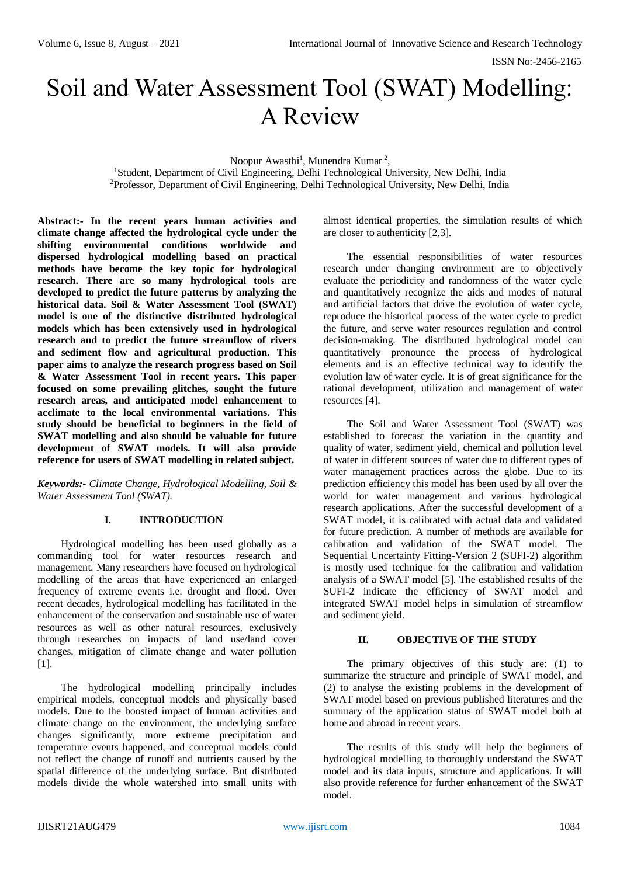# Soil and Water Assessment Tool (SWAT) Modelling: A Review

Noopur Awasthi<sup>1</sup>, Munendra Kumar<sup>2</sup>,

<sup>1</sup>Student, Department of Civil Engineering, Delhi Technological University, New Delhi, India <sup>2</sup>Professor, Department of Civil Engineering, Delhi Technological University, New Delhi, India

**Abstract:- In the recent years human activities and climate change affected the hydrological cycle under the shifting environmental conditions worldwide and dispersed hydrological modelling based on practical methods have become the key topic for hydrological research. There are so many hydrological tools are developed to predict the future patterns by analyzing the historical data. Soil & Water Assessment Tool (SWAT) model is one of the distinctive distributed hydrological models which has been extensively used in hydrological research and to predict the future streamflow of rivers and sediment flow and agricultural production. This paper aims to analyze the research progress based on Soil & Water Assessment Tool in recent years. This paper focused on some prevailing glitches, sought the future research areas, and anticipated model enhancement to acclimate to the local environmental variations. This study should be beneficial to beginners in the field of SWAT modelling and also should be valuable for future development of SWAT models. It will also provide reference for users of SWAT modelling in related subject.**

*Keywords:- Climate Change, Hydrological Modelling, Soil & Water Assessment Tool (SWAT).*

# **I. INTRODUCTION**

Hydrological modelling has been used globally as a commanding tool for water resources research and management. Many researchers have focused on hydrological modelling of the areas that have experienced an enlarged frequency of extreme events i.e. drought and flood. Over recent decades, hydrological modelling has facilitated in the enhancement of the conservation and sustainable use of water resources as well as other natural resources, exclusively through researches on impacts of land use/land cover changes, mitigation of climate change and water pollution [1].

The hydrological modelling principally includes empirical models, conceptual models and physically based models. Due to the boosted impact of human activities and climate change on the environment, the underlying surface changes significantly, more extreme precipitation and temperature events happened, and conceptual models could not reflect the change of runoff and nutrients caused by the spatial difference of the underlying surface. But distributed models divide the whole watershed into small units with

almost identical properties, the simulation results of which are closer to authenticity [2,3].

The essential responsibilities of water resources research under changing environment are to objectively evaluate the periodicity and randomness of the water cycle and quantitatively recognize the aids and modes of natural and artificial factors that drive the evolution of water cycle, reproduce the historical process of the water cycle to predict the future, and serve water resources regulation and control decision-making. The distributed hydrological model can quantitatively pronounce the process of hydrological elements and is an effective technical way to identify the evolution law of water cycle. It is of great significance for the rational development, utilization and management of water resources [4].

The Soil and Water Assessment Tool (SWAT) was established to forecast the variation in the quantity and quality of water, sediment yield, chemical and pollution level of water in different sources of water due to different types of water management practices across the globe. Due to its prediction efficiency this model has been used by all over the world for water management and various hydrological research applications. After the successful development of a SWAT model, it is calibrated with actual data and validated for future prediction. A number of methods are available for calibration and validation of the SWAT model. The Sequential Uncertainty Fitting-Version 2 (SUFI-2) algorithm is mostly used technique for the calibration and validation analysis of a SWAT model [5]. The established results of the SUFI-2 indicate the efficiency of SWAT model and integrated SWAT model helps in simulation of streamflow and sediment yield.

# **II. OBJECTIVE OF THE STUDY**

The primary objectives of this study are: (1) to summarize the structure and principle of SWAT model, and (2) to analyse the existing problems in the development of SWAT model based on previous published literatures and the summary of the application status of SWAT model both at home and abroad in recent years.

The results of this study will help the beginners of hydrological modelling to thoroughly understand the SWAT model and its data inputs, structure and applications. It will also provide reference for further enhancement of the SWAT model.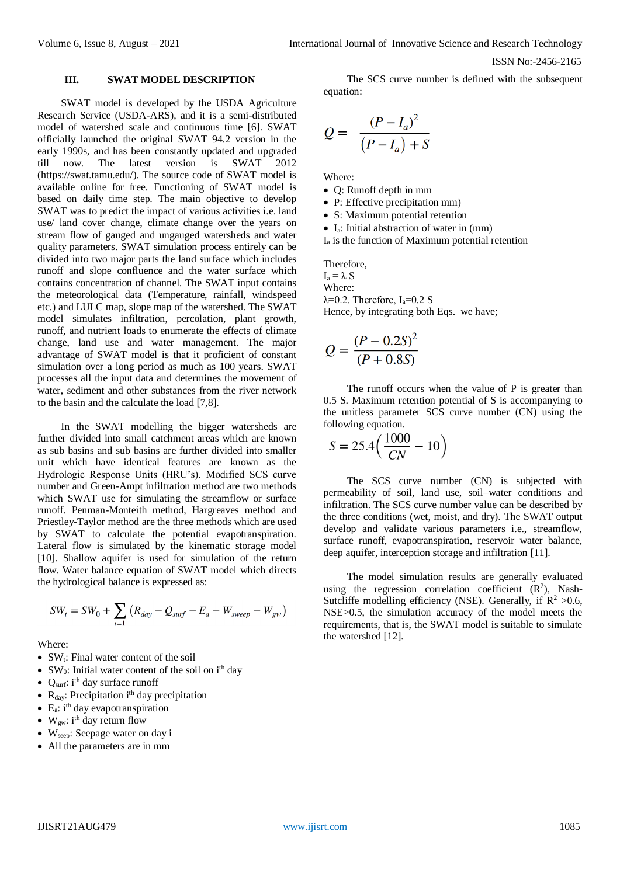#### ISSN No:-2456-2165

## **III. SWAT MODEL DESCRIPTION**

SWAT model is developed by the USDA Agriculture Research Service (USDA-ARS), and it is a semi-distributed model of watershed scale and continuous time [6]. SWAT officially launched the original SWAT 94.2 version in the early 1990s, and has been constantly updated and upgraded till now. The latest version is SWAT 2012 (https://swat.tamu.edu/). The source code of SWAT model is available online for free. Functioning of SWAT model is based on daily time step. The main objective to develop SWAT was to predict the impact of various activities i.e. land use/ land cover change, climate change over the years on stream flow of gauged and ungauged watersheds and water quality parameters. SWAT simulation process entirely can be divided into two major parts the land surface which includes runoff and slope confluence and the water surface which contains concentration of channel. The SWAT input contains the meteorological data (Temperature, rainfall, windspeed etc.) and LULC map, slope map of the watershed. The SWAT model simulates infiltration, percolation, plant growth, runoff, and nutrient loads to enumerate the effects of climate change, land use and water management. The major advantage of SWAT model is that it proficient of constant simulation over a long period as much as 100 years. SWAT processes all the input data and determines the movement of water, sediment and other substances from the river network to the basin and the calculate the load [7,8].

In the SWAT modelling the bigger watersheds are further divided into small catchment areas which are known as sub basins and sub basins are further divided into smaller unit which have identical features are known as the Hydrologic Response Units (HRU's). Modified SCS curve number and Green-Ampt infiltration method are two methods which SWAT use for simulating the streamflow or surface runoff. Penman-Monteith method, Hargreaves method and Priestley-Taylor method are the three methods which are used by SWAT to calculate the potential evapotranspiration. Lateral flow is simulated by the kinematic storage model [10]. Shallow aquifer is used for simulation of the return flow. Water balance equation of SWAT model which directs the hydrological balance is expressed as:

$$
SW_{t} = SW_{0} + \sum_{i=1} (R_{day} - Q_{surf} - E_{a} - W_{sweep} - W_{gw})
$$

Where:

- $\bullet$  SW<sub>t</sub>: Final water content of the soil
- SW<sub>0</sub>: Initial water content of the soil on  $i<sup>th</sup>$  day
- Q<sub>surf</sub>: i<sup>th</sup> day surface runoff
- $R_{day}$ : Precipitation i<sup>th</sup> day precipitation
- $\bullet$  E<sub>a</sub>: i<sup>th</sup> day evapotranspiration
- W<sub>gw</sub>: i<sup>th</sup> day return flow
- Wseep: Seepage water on day i
- All the parameters are in mm

The SCS curve number is defined with the subsequent equation:

$$
Q = \frac{(P - I_a)^2}{(P - I_a) + S}
$$

Where:

- Q: Runoff depth in mm
- P: Effective precipitation mm)
- S: Maximum potential retention
- $\bullet$  I<sub>a</sub>: Initial abstraction of water in (mm)
- $I<sub>a</sub>$  is the function of Maximum potential retention

Therefore,  $I_a = \lambda S$ Where:  $λ=0.2$ . Therefore, I<sub>a</sub>=0.2 S Hence, by integrating both Eqs. we have;

$$
Q = \frac{(P - 0.2S)^2}{(P + 0.8S)}
$$

The runoff occurs when the value of P is greater than 0.5 S. Maximum retention potential of S is accompanying to the unitless parameter SCS curve number (CN) using the following equation.

$$
S = 25.4 \left( \frac{1000}{CN} - 10 \right)
$$

The SCS curve number (CN) is subjected with permeability of soil, land use, soil–water conditions and infiltration. The SCS curve number value can be described by the three conditions (wet, moist, and dry). The SWAT output develop and validate various parameters i.e., streamflow, surface runoff, evapotranspiration, reservoir water balance, deep aquifer, interception storage and infiltration [11].

The model simulation results are generally evaluated using the regression correlation coefficient  $(R^2)$ , Nash-Sutcliffe modelling efficiency (NSE). Generally, if  $\mathbb{R}^2 > 0.6$ , NSE>0.5, the simulation accuracy of the model meets the requirements, that is, the SWAT model is suitable to simulate the watershed [12].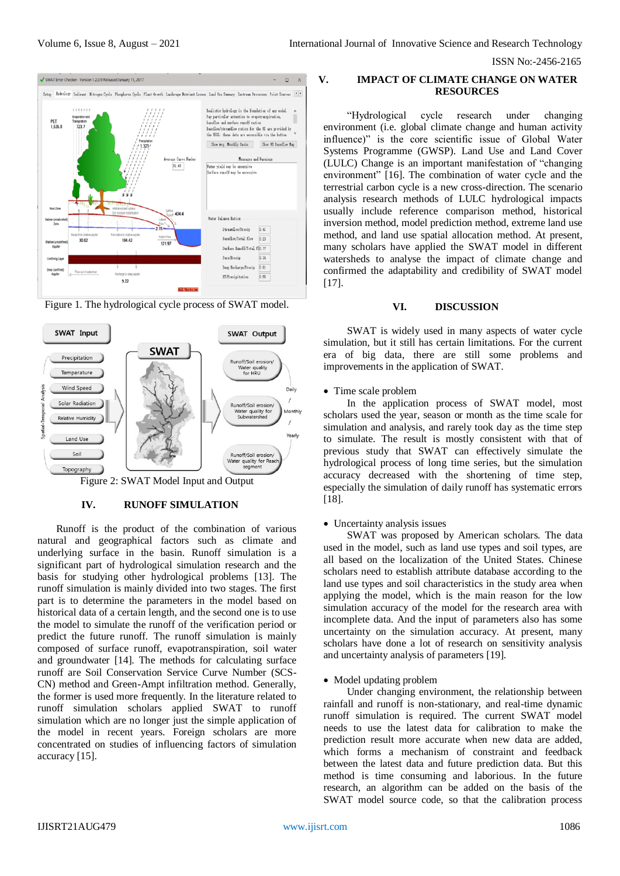ISSN No:-2456-2165



Figure 1. The hydrological cycle process of SWAT model.



## **IV. RUNOFF SIMULATION**

Runoff is the product of the combination of various natural and geographical factors such as climate and underlying surface in the basin. Runoff simulation is a significant part of hydrological simulation research and the basis for studying other hydrological problems [13]. The runoff simulation is mainly divided into two stages. The first part is to determine the parameters in the model based on historical data of a certain length, and the second one is to use the model to simulate the runoff of the verification period or predict the future runoff. The runoff simulation is mainly composed of surface runoff, evapotranspiration, soil water and groundwater [14]. The methods for calculating surface runoff are Soil Conservation Service Curve Number (SCS-CN) method and Green-Ampt infiltration method. Generally, the former is used more frequently. In the literature related to runoff simulation scholars applied SWAT to runoff simulation which are no longer just the simple application of the model in recent years. Foreign scholars are more concentrated on studies of influencing factors of simulation accuracy [15].

# **V. IMPACT OF CLIMATE CHANGE ON WATER RESOURCES**

"Hydrological cycle research under changing environment (i.e. global climate change and human activity influence)" is the core scientific issue of Global Water Systems Programme (GWSP). Land Use and Land Cover (LULC) Change is an important manifestation of "changing environment" [16]. The combination of water cycle and the terrestrial carbon cycle is a new cross-direction. The scenario analysis research methods of LULC hydrological impacts usually include reference comparison method, historical inversion method, model prediction method, extreme land use method, and land use spatial allocation method. At present, many scholars have applied the SWAT model in different watersheds to analyse the impact of climate change and confirmed the adaptability and credibility of SWAT model [17].

# **VI. DISCUSSION**

SWAT is widely used in many aspects of water cycle simulation, but it still has certain limitations. For the current era of big data, there are still some problems and improvements in the application of SWAT.

## • Time scale problem

In the application process of SWAT model, most scholars used the year, season or month as the time scale for simulation and analysis, and rarely took day as the time step to simulate. The result is mostly consistent with that of previous study that SWAT can effectively simulate the hydrological process of long time series, but the simulation accuracy decreased with the shortening of time step, especially the simulation of daily runoff has systematic errors [18].

# Uncertainty analysis issues

SWAT was proposed by American scholars. The data used in the model, such as land use types and soil types, are all based on the localization of the United States. Chinese scholars need to establish attribute database according to the land use types and soil characteristics in the study area when applying the model, which is the main reason for the low simulation accuracy of the model for the research area with incomplete data. And the input of parameters also has some uncertainty on the simulation accuracy. At present, many scholars have done a lot of research on sensitivity analysis and uncertainty analysis of parameters [19].

# • Model updating problem

Under changing environment, the relationship between rainfall and runoff is non-stationary, and real-time dynamic runoff simulation is required. The current SWAT model needs to use the latest data for calibration to make the prediction result more accurate when new data are added, which forms a mechanism of constraint and feedback between the latest data and future prediction data. But this method is time consuming and laborious. In the future research, an algorithm can be added on the basis of the SWAT model source code, so that the calibration process